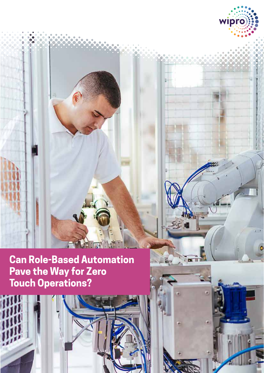

AA TI

wipro

i prill

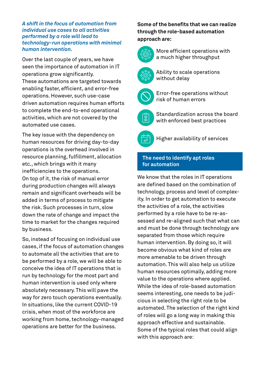#### *A shift in the focus of automation from individual use cases to all activities performed by a role will lead to technology-run operations with minimal human intervention.*

Over the last couple of years, we have seen the importance of automation in IT operations grow significantly. These automations are targeted towards enabling faster, efficient, and error-free operations. However, such use-case driven automation requires human efforts to complete the end-to-end operational activities, which are not covered by the automated use cases.

The key issue with the dependency on human resources for driving day-to-day operations is the overhead involved in resource planning, fulfillment, allocation etc., which brings with it many inefficiencies to the operations. On top of it, the risk of manual error during production changes will always remain and significant overheads will be added in terms of process to mitigate the risk. Such processes in turn, slow down the rate of change and impact the time to market for the changes required by business.

So, instead of focusing on individual use cases, if the focus of automation changes to automate all the activities that are to be performed by a role, we will be able to conceive the idea of IT operations that is run by technology for the most part and human intervention is used only where absolutely necessary. This will pave the way for zero touch operations eventually. In situations, like the current COVID-19 crisis, when most of the workforce are working from home, technology-managed operations are better for the business.

# **Some of the benefits that we can realize through the role-based automation approach are:**



More efficient operations with a much higher throughput



Ability to scale operations without delay



Error-free operations without risk of human errors



Standardization across the board with enforced best practices



Higher availability of services

# **The need to identify apt roles for automation**

We know that the roles in IT operations are defined based on the combination of technology, process and level of complexity. In order to get automation to execute the activities of a role, the activities performed by a role have to be re-assessed and re-aligned such that what can and must be done through technology are separated from those which require human intervention. By doing so, it will become obvious what kind of roles are more amenable to be driven through automation. This will also help us utilize human resources optimally, adding more value to the operations where applied. While the idea of role-based automation seems interesting, one needs to be judicious in selecting the right role to be automated. The selection of the right kind of roles will go a long way in making this approach effective and sustainable. Some of the typical roles that could align with this approach are: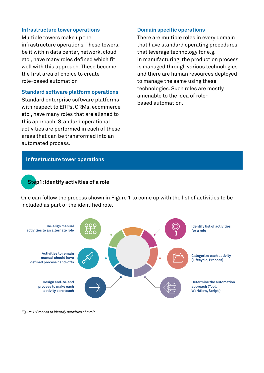#### **Infrastructure tower operations**

Multiple towers make up the infrastructure operations. These towers, be it within data center, network, cloud etc., have many roles defined which fit well with this approach. These become the first area of choice to create role-based automation

#### **Standard software platform operations**

Standard enterprise software platforms with respect to ERPs, CRMs, ecommerce etc., have many roles that are aligned to this approach. Standard operational activities are performed in each of these areas that can be transformed into an automated process.

#### **Domain specific operations**

There are multiple roles in every domain that have standard operating procedures that leverage technology for e.g. in manufacturing, the production process is managed through various technologies and there are human resources deployed to manage the same using these technologies. Such roles are mostly amenable to the idea of rolebased automation.

#### **Infrastructure tower operations**

## **Step1: Identify activities of a role**

One can follow the process shown in Figure 1 to come up with the list of activities to be included as part of the identified role.



*Figure 1: Process to identify activities of a role*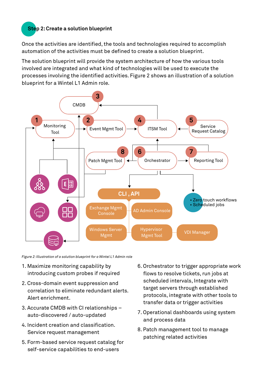# **Step 2: Create a solution blueprint**

Once the activities are identified, the tools and technologies required to accomplish automation of the activities must be defined to create a solution blueprint.

The solution blueprint will provide the system architecture of how the various tools involved are integrated and what kind of technologies will be used to execute the processes involving the identified activities. Figure 2 shows an illustration of a solution blueprint for a Wintel L1 Admin role.



*Figure 2: Illustration of a solution blueprint for a Wintel L1 Admin role*

- 1. Maximize monitoring capability by introducing custom probes if required
- 2. Cross-domain event suppression and correlation to eliminate redundant alerts. Alert enrichment.
- 3. Accurate CMDB with CI relationships auto-discovered / auto-updated
- 4. Incident creation and classification. Service request management
- 5. Form-based service request catalog for self-service capabilities to end-users
- 6. Orchestrator to trigger appropriate work flows to resolve tickets, run jobs at scheduled intervals, Integrate with target servers through established protocols, integrate with other tools to transfer data or trigger activities
- 7. Operational dashboards using system and process data
- 8. Patch management tool to manage patching related activities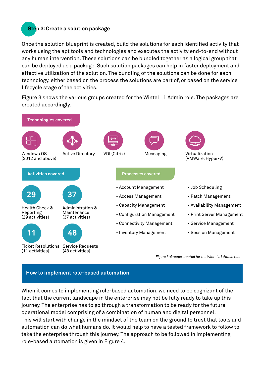# **Step 3: Create a solution package**

Once the solution blueprint is created, build the solutions for each identified activity that works using the apt tools and technologies and executes the activity end-to-end without any human intervention. These solutions can be bundled together as a logical group that can be deployed as a package. Such solution packages can help in faster deployment and effective utilization of the solution. The bundling of the solutions can be done for each technology, either based on the process the solutions are part of, or based on the service lifecycle stage of the activities.

Figure 3 shows the various groups created for the Wintel L1 Admin role. The packages are created accordingly.



## **How to implement role-based automation**

When it comes to implementing role-based automation, we need to be cognizant of the fact that the current landscape in the enterprise may not be fully ready to take up this journey. The enterprise has to go through a transformation to be ready for the future operational model comprising of a combination of human and digital personnel. This will start with change in the mindset of the team on the ground to trust that tools and automation can do what humans do. It would help to have a tested framework to follow to take the enterprise through this journey. The approach to be followed in implementing role-based automation is given in Figure 4.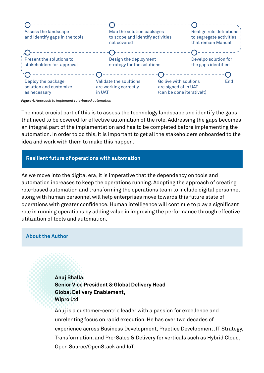| Assess the landscape<br>and identify gaps in the tools       | Map the solution packages<br>to scope and identify activities<br>not covered |                                                                             | Realign role definitions<br>to segregate activities<br>that remain Manual |     |
|--------------------------------------------------------------|------------------------------------------------------------------------------|-----------------------------------------------------------------------------|---------------------------------------------------------------------------|-----|
| Present the solutions to<br>stakeholders for approval        | Design the deployment<br>strategy for the solutions                          |                                                                             | Develpo solution for<br>the gaps identified                               |     |
| Deploy the package<br>solution and customize<br>as necessary | Validate the soultions<br>are working correctly<br>in UAT                    | Go live with soulions<br>are signed of in UAT.<br>(can be done iterativelt) |                                                                           | End |

*Figure 4: Approach to implement role-based automation*

The most crucial part of this is to assess the technology landscape and identify the gaps that need to be covered for effective automation of the role. Addressing the gaps becomes an integral part of the implementation and has to be completed before implementing the automation. In order to do this, it is important to get all the stakeholders onboarded to the idea and work with them to make this happen.

## **Resilient future of operations with automation**

As we move into the digital era, it is imperative that the dependency on tools and automation increases to keep the operations running. Adopting the approach of creating role-based automation and transforming the operations team to include digital personnel along with human personnel will help enterprises move towards this future state of operations with greater confidence. Human intelligence will continue to play a significant role in running operations by adding value in improving the performance through effective utilization of tools and automation.

## **About the Author**

**Anuj Bhalla, Senior Vice President & Global Delivery Head Global Delivery Enablement, Wipro Ltd**

Anuj is a customer-centric leader with a passion for excellence and unrelenting focus on rapid execution. He has over two decades of experience across Business Development, Practice Development, IT Strategy, Transformation, and Pre-Sales & Delivery for verticals such as Hybrid Cloud, Open Source/OpenStack and IoT.